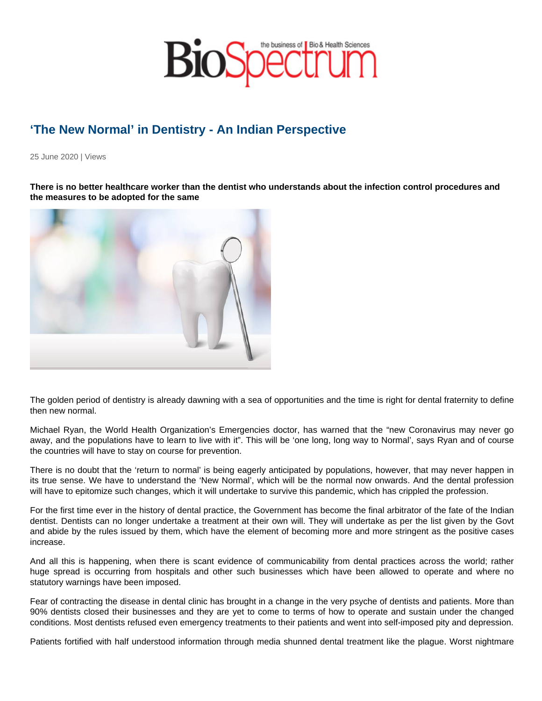## 'The New Normal' in Dentistry - An Indian Perspective

25 June 2020 | Views

There is no better healthcare worker than the dentist who understands about the infection control procedures and the measures to be adopted for the same

The golden period of dentistry is already dawning with a sea of opportunities and the time is right for dental fraternity to define then new normal.

Michael Ryan, the World Health Organization's Emergencies doctor, has warned that the "new Coronavirus may never go away, and the populations have to learn to live with it". This will be 'one long, long way to Normal', says Ryan and of course the countries will have to stay on course for prevention.

There is no doubt that the 'return to normal' is being eagerly anticipated by populations, however, that may never happen in its true sense. We have to understand the 'New Normal', which will be the normal now onwards. And the dental profession will have to epitomize such changes, which it will undertake to survive this pandemic, which has crippled the profession.

For the first time ever in the history of dental practice, the Government has become the final arbitrator of the fate of the Indian dentist. Dentists can no longer undertake a treatment at their own will. They will undertake as per the list given by the Govt and abide by the rules issued by them, which have the element of becoming more and more stringent as the positive cases increase.

And all this is happening, when there is scant evidence of communicability from dental practices across the world; rather huge spread is occurring from hospitals and other such businesses which have been allowed to operate and where no statutory warnings have been imposed.

Fear of contracting the disease in dental clinic has brought in a change in the very psyche of dentists and patients. More than 90% dentists closed their businesses and they are yet to come to terms of how to operate and sustain under the changed conditions. Most dentists refused even emergency treatments to their patients and went into self-imposed pity and depression.

Patients fortified with half understood information through media shunned dental treatment like the plague. Worst nightmare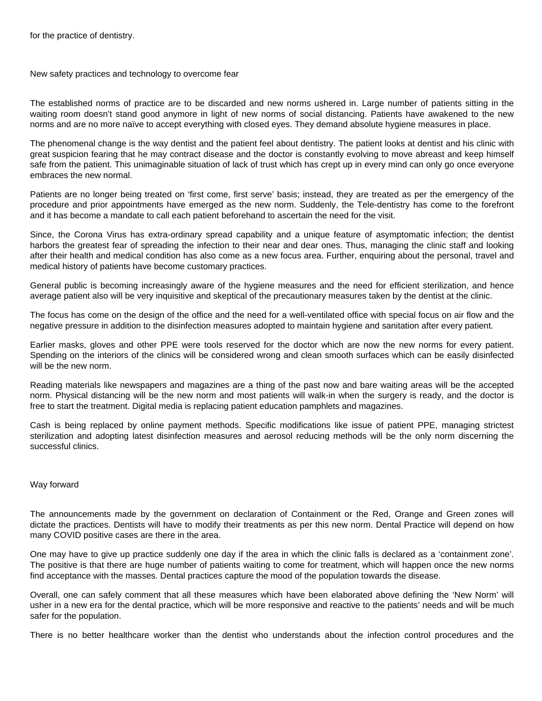New safety practices and technology to overcome fear

The established norms of practice are to be discarded and new norms ushered in. Large number of patients sitting in the waiting room doesn't stand good anymore in light of new norms of social distancing. Patients have awakened to the new norms and are no more naïve to accept everything with closed eyes. They demand absolute hygiene measures in place.

The phenomenal change is the way dentist and the patient feel about dentistry. The patient looks at dentist and his clinic with great suspicion fearing that he may contract disease and the doctor is constantly evolving to move abreast and keep himself safe from the patient. This unimaginable situation of lack of trust which has crept up in every mind can only go once everyone embraces the new normal.

Patients are no longer being treated on 'first come, first serve' basis; instead, they are treated as per the emergency of the procedure and prior appointments have emerged as the new norm. Suddenly, the Tele-dentistry has come to the forefront and it has become a mandate to call each patient beforehand to ascertain the need for the visit.

Since, the Corona Virus has extra-ordinary spread capability and a unique feature of asymptomatic infection; the dentist harbors the greatest fear of spreading the infection to their near and dear ones. Thus, managing the clinic staff and looking after their health and medical condition has also come as a new focus area. Further, enquiring about the personal, travel and medical history of patients have become customary practices.

General public is becoming increasingly aware of the hygiene measures and the need for efficient sterilization, and hence average patient also will be very inquisitive and skeptical of the precautionary measures taken by the dentist at the clinic.

The focus has come on the design of the office and the need for a well-ventilated office with special focus on air flow and the negative pressure in addition to the disinfection measures adopted to maintain hygiene and sanitation after every patient.

Earlier masks, gloves and other PPE were tools reserved for the doctor which are now the new norms for every patient. Spending on the interiors of the clinics will be considered wrong and clean smooth surfaces which can be easily disinfected will be the new norm.

Reading materials like newspapers and magazines are a thing of the past now and bare waiting areas will be the accepted norm. Physical distancing will be the new norm and most patients will walk-in when the surgery is ready, and the doctor is free to start the treatment. Digital media is replacing patient education pamphlets and magazines.

Cash is being replaced by online payment methods. Specific modifications like issue of patient PPE, managing strictest sterilization and adopting latest disinfection measures and aerosol reducing methods will be the only norm discerning the successful clinics.

## Way forward

The announcements made by the government on declaration of Containment or the Red, Orange and Green zones will dictate the practices. Dentists will have to modify their treatments as per this new norm. Dental Practice will depend on how many COVID positive cases are there in the area.

One may have to give up practice suddenly one day if the area in which the clinic falls is declared as a 'containment zone'. The positive is that there are huge number of patients waiting to come for treatment, which will happen once the new norms find acceptance with the masses. Dental practices capture the mood of the population towards the disease.

Overall, one can safely comment that all these measures which have been elaborated above defining the 'New Norm' will usher in a new era for the dental practice, which will be more responsive and reactive to the patients' needs and will be much safer for the population.

There is no better healthcare worker than the dentist who understands about the infection control procedures and the